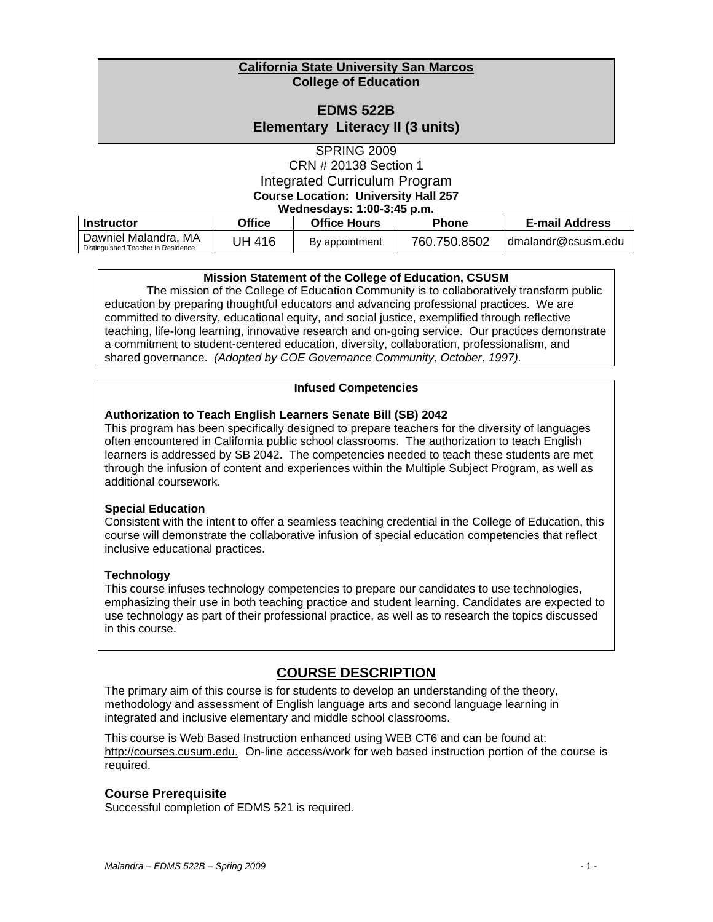### **California State University San Marcos College of Education**

### **EDMS 522B**

**Elementary Literacy II (3 units)** 

SPRING 2009 CRN # 20138 Section 1 Integrated Curriculum Program **Course Location: University Hall 257 Wednesdays: 1:00-3:45 p.m.** 

| -------                                                    |        |                     |              |                       |
|------------------------------------------------------------|--------|---------------------|--------------|-----------------------|
| Instructor                                                 | Office | <b>Office Hours</b> | <b>Phone</b> | <b>E-mail Address</b> |
| Dawniel Malandra, MA<br>Distinguished Teacher in Residence | JH 416 | By appointment      | 760.750.8502 | dmalandr@csusm.edu    |

### **Mission Statement of the College of Education, CSUSM**

The mission of the College of Education Community is to collaboratively transform public education by preparing thoughtful educators and advancing professional practices. We are committed to diversity, educational equity, and social justice, exemplified through reflective teaching, life-long learning, innovative research and on-going service. Our practices demonstrate a commitment to student-centered education, diversity, collaboration, professionalism, and shared governance. *(Adopted by COE Governance Community, October, 1997).* 

### **Infused Competencies**

### **Authorization to Teach English Learners Senate Bill (SB) 2042**

This program has been specifically designed to prepare teachers for the diversity of languages often encountered in California public school classrooms. The authorization to teach English learners is addressed by SB 2042. The competencies needed to teach these students are met through the infusion of content and experiences within the Multiple Subject Program, as well as additional coursework.

### **Special Education**

Consistent with the intent to offer a seamless teaching credential in the College of Education, this course will demonstrate the collaborative infusion of special education competencies that reflect inclusive educational practices.

### **Technology**

This course infuses technology competencies to prepare our candidates to use technologies, emphasizing their use in both teaching practice and student learning. Candidates are expected to use technology as part of their professional practice, as well as to research the topics discussed in this course.

# **COURSE DESCRIPTION**

The primary aim of this course is for students to develop an understanding of the theory, methodology and assessment of English language arts and second language learning in integrated and inclusive elementary and middle school classrooms.

http://courses.cusum.edu. On-line access/work for web based instruction portion of the course is This course is Web Based Instruction enhanced using WEB CT6 and can be found at: required.

### **Course Prerequisite**

Successful completion of EDMS 521 is required.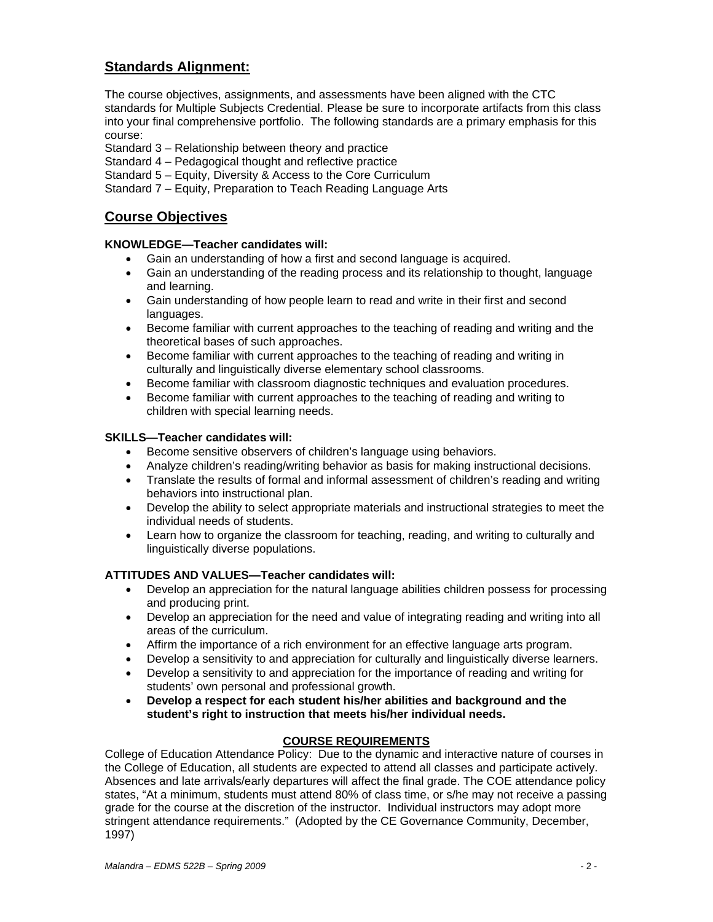# **Standards Alignment:**

The course objectives, assignments, and assessments have been aligned with the CTC standards for Multiple Subjects Credential. Please be sure to incorporate artifacts from this class into your final comprehensive portfolio. The following standards are a primary emphasis for this course:

- Standard 3 Relationship between theory and practice
- Standard 4 Pedagogical thought and reflective practice
- Standard 5 Equity, Diversity & Access to the Core Curriculum
- Standard 7 Equity, Preparation to Teach Reading Language Arts

# **Course Objectives**

### **KNOWLEDGE—Teacher candidates will:**

- Gain an understanding of how a first and second language is acquired.
- Gain an understanding of the reading process and its relationship to thought, language and learning.
- Gain understanding of how people learn to read and write in their first and second languages.
- Become familiar with current approaches to the teaching of reading and writing and the theoretical bases of such approaches.
- Become familiar with current approaches to the teaching of reading and writing in culturally and linguistically diverse elementary school classrooms.
- • Become familiar with classroom diagnostic techniques and evaluation procedures.
- Become familiar with current approaches to the teaching of reading and writing to children with special learning needs.

### **SKILLS—Teacher candidates will:**

- Become sensitive observers of children's language using behaviors.
- • Analyze children's reading/writing behavior as basis for making instructional decisions.
- Translate the results of formal and informal assessment of children's reading and writing behaviors into instructional plan.
- Develop the ability to select appropriate materials and instructional strategies to meet the individual needs of students.
- Learn how to organize the classroom for teaching, reading, and writing to culturally and linguistically diverse populations.

### **ATTITUDES AND VALUES—Teacher candidates will:**

- Develop an appreciation for the natural language abilities children possess for processing and producing print.
- Develop an appreciation for the need and value of integrating reading and writing into all areas of the curriculum.
- • Affirm the importance of a rich environment for an effective language arts program.
- Develop a sensitivity to and appreciation for culturally and linguistically diverse learners.
- Develop a sensitivity to and appreciation for the importance of reading and writing for students' own personal and professional growth.
- • **Develop a respect for each student his/her abilities and background and the student's right to instruction that meets his/her individual needs.**

### **COURSE REQUIREMENTS**

College of Education Attendance Policy: Due to the dynamic and interactive nature of courses in the College of Education, all students are expected to attend all classes and participate actively. Absences and late arrivals/early departures will affect the final grade. The COE attendance policy states, "At a minimum, students must attend 80% of class time, or s/he may not receive a passing grade for the course at the discretion of the instructor. Individual instructors may adopt more stringent attendance requirements." (Adopted by the CE Governance Community, December, 1997)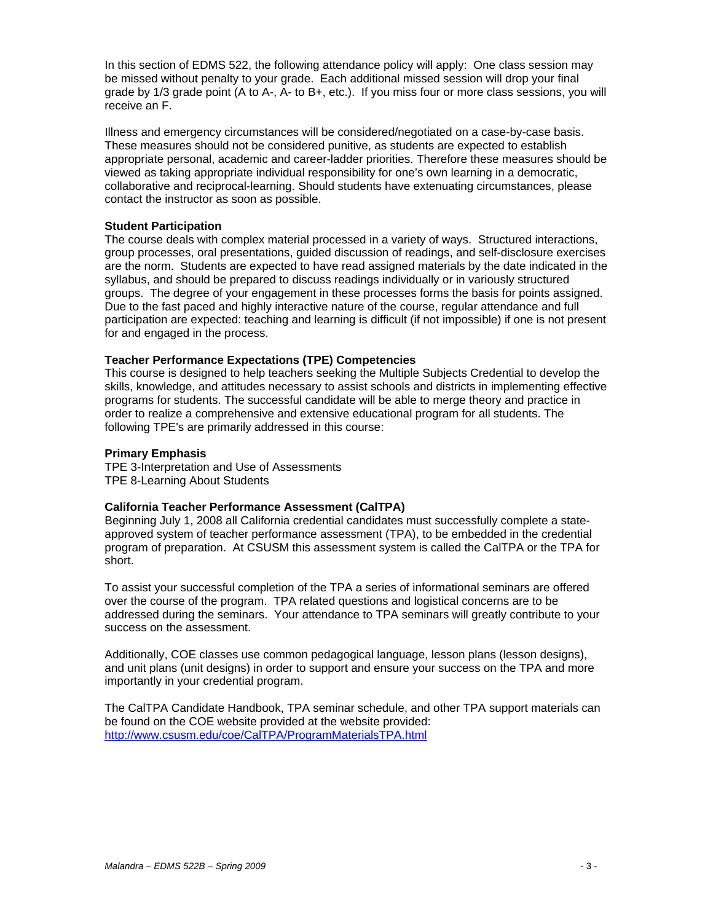In this section of EDMS 522, the following attendance policy will apply: One class session may be missed without penalty to your grade. Each additional missed session will drop your final grade by 1/3 grade point (A to A-, A- to B+, etc.). If you miss four or more class sessions, you will receive an F.

Illness and emergency circumstances will be considered/negotiated on a case-by-case basis. These measures should not be considered punitive, as students are expected to establish appropriate personal, academic and career-ladder priorities. Therefore these measures should be viewed as taking appropriate individual responsibility for one's own learning in a democratic, collaborative and reciprocal-learning. Should students have extenuating circumstances, please contact the instructor as soon as possible.

### **Student Participation**

The course deals with complex material processed in a variety of ways. Structured interactions, group processes, oral presentations, guided discussion of readings, and self-disclosure exercises are the norm. Students are expected to have read assigned materials by the date indicated in the syllabus, and should be prepared to discuss readings individually or in variously structured groups. The degree of your engagement in these processes forms the basis for points assigned. Due to the fast paced and highly interactive nature of the course, regular attendance and full participation are expected: teaching and learning is difficult (if not impossible) if one is not present for and engaged in the process.

### **Teacher Performance Expectations (TPE) Competencies**

This course is designed to help teachers seeking the Multiple Subjects Credential to develop the skills, knowledge, and attitudes necessary to assist schools and districts in implementing effective programs for students. The successful candidate will be able to merge theory and practice in order to realize a comprehensive and extensive educational program for all students. The following TPE's are primarily addressed in this course:

### **Primary Emphasis**

TPE 3-Interpretation and Use of Assessments TPE 8-Learning About Students

### **California Teacher Performance Assessment (CalTPA)**

Beginning July 1, 2008 all California credential candidates must successfully complete a stateapproved system of teacher performance assessment (TPA), to be embedded in the credential program of preparation. At CSUSM this assessment system is called the CalTPA or the TPA for short.

success on the assessment. To assist your successful completion of the TPA a series of informational seminars are offered over the course of the program. TPA related questions and logistical concerns are to be addressed during the seminars. Your attendance to TPA seminars will greatly contribute to your

Additionally, COE classes use common pedagogical language, lesson plans (lesson designs), and unit plans (unit designs) in order to support and ensure your success on the TPA and more importantly in your credential program.

 http://www.csusm.edu/coe/CalTPA/ProgramMaterialsTPA.html The CalTPA Candidate Handbook, TPA seminar schedule, and other TPA support materials can be found on the COE website provided at the website provided: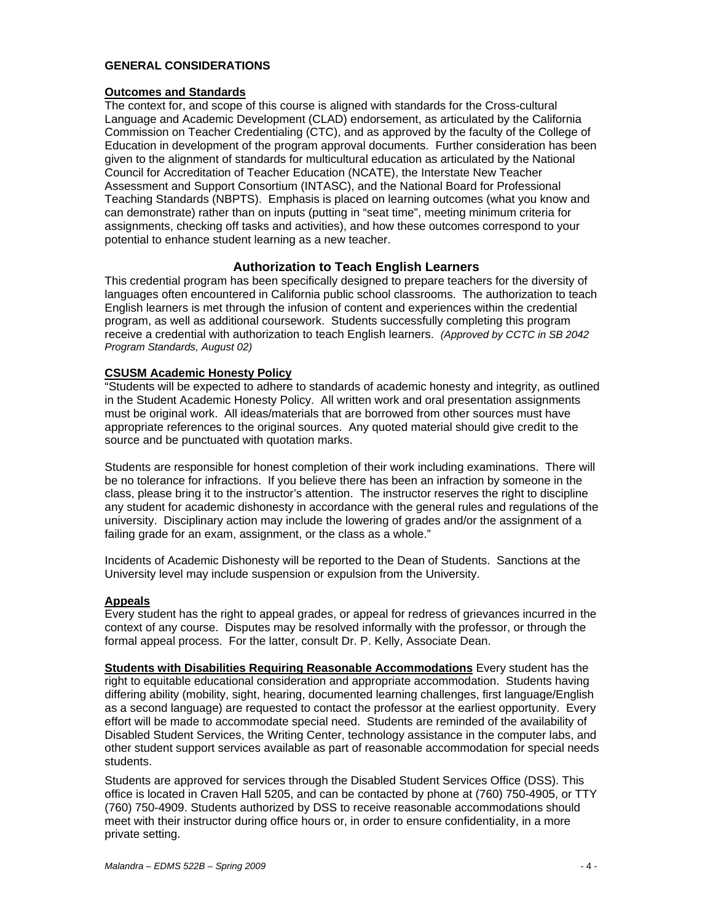### **GENERAL CONSIDERATIONS**

### **Outcomes and Standards**

The context for, and scope of this course is aligned with standards for the Cross-cultural Language and Academic Development (CLAD) endorsement, as articulated by the California Commission on Teacher Credentialing (CTC), and as approved by the faculty of the College of Education in development of the program approval documents. Further consideration has been given to the alignment of standards for multicultural education as articulated by the National Council for Accreditation of Teacher Education (NCATE), the Interstate New Teacher Assessment and Support Consortium (INTASC), and the National Board for Professional Teaching Standards (NBPTS). Emphasis is placed on learning outcomes (what you know and can demonstrate) rather than on inputs (putting in "seat time", meeting minimum criteria for assignments, checking off tasks and activities), and how these outcomes correspond to your potential to enhance student learning as a new teacher.

### **Authorization to Teach English Learners**

This credential program has been specifically designed to prepare teachers for the diversity of languages often encountered in California public school classrooms. The authorization to teach English learners is met through the infusion of content and experiences within the credential program, as well as additional coursework. Students successfully completing this program receive a credential with authorization to teach English learners. *(Approved by CCTC in SB 2042 Program Standards, August 02)* 

### **CSUSM Academic Honesty Policy**

"Students will be expected to adhere to standards of academic honesty and integrity, as outlined in the Student Academic Honesty Policy. All written work and oral presentation assignments must be original work. All ideas/materials that are borrowed from other sources must have appropriate references to the original sources. Any quoted material should give credit to the source and be punctuated with quotation marks.

Students are responsible for honest completion of their work including examinations. There will be no tolerance for infractions. If you believe there has been an infraction by someone in the class, please bring it to the instructor's attention. The instructor reserves the right to discipline any student for academic dishonesty in accordance with the general rules and regulations of the university. Disciplinary action may include the lowering of grades and/or the assignment of a failing grade for an exam, assignment, or the class as a whole."

Incidents of Academic Dishonesty will be reported to the Dean of Students. Sanctions at the University level may include suspension or expulsion from the University.

### **Appeals**

Every student has the right to appeal grades, or appeal for redress of grievances incurred in the context of any course. Disputes may be resolved informally with the professor, or through the formal appeal process. For the latter, consult Dr. P. Kelly, Associate Dean.

**Students with Disabilities Requiring Reasonable Accommodations** Every student has the right to equitable educational consideration and appropriate accommodation. Students having differing ability (mobility, sight, hearing, documented learning challenges, first language/English as a second language) are requested to contact the professor at the earliest opportunity. Every effort will be made to accommodate special need. Students are reminded of the availability of Disabled Student Services, the Writing Center, technology assistance in the computer labs, and other student support services available as part of reasonable accommodation for special needs students.

Students are approved for services through the Disabled Student Services Office (DSS). This office is located in Craven Hall 5205, and can be contacted by phone at (760) 750-4905, or TTY (760) 750-4909. Students authorized by DSS to receive reasonable accommodations should meet with their instructor during office hours or, in order to ensure confidentiality, in a more private setting.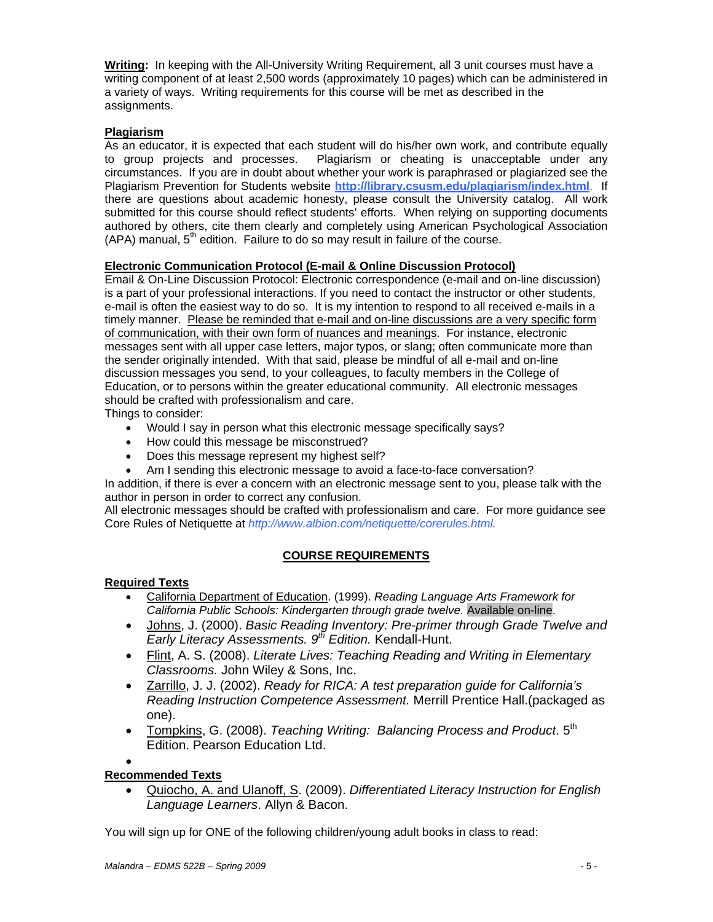**Writing:** In keeping with the All-University Writing Requirement, all 3 unit courses must have a writing component of at least 2,500 words (approximately 10 pages) which can be administered in a variety of ways. Writing requirements for this course will be met as described in the assignments.

### **Plagiarism**

As an educator, it is expected that each student will do his/her own work, and contribute equally to group projects and processes. Plagiarism or cheating is unacceptable under any circumstances. If you are in doubt about whether your work is paraphrased or plagiarized see the Plagiarism Prevention for Students website **http://library.csusm.edu/plagiarism/index.html**. If there are questions about academic honesty, please consult the University catalog. All work submitted for this course should reflect students' efforts. When relying on supporting documents authored by others, cite them clearly and completely using American Psychological Association  $(APA)$  manual,  $5<sup>th</sup>$  edition. Failure to do so may result in failure of the course.

### **Electronic Communication Protocol (E-mail & Online Discussion Protocol)**

Email & On-Line Discussion Protocol: Electronic correspondence (e-mail and on-line discussion) is a part of your professional interactions. If you need to contact the instructor or other students, e-mail is often the easiest way to do so. It is my intention to respond to all received e-mails in a timely manner. Please be reminded that e-mail and on-line discussions are a very specific form of communication, with their own form of nuances and meanings. For instance, electronic messages sent with all upper case letters, major typos, or slang; often communicate more than the sender originally intended. With that said, please be mindful of all e-mail and on-line discussion messages you send, to your colleagues, to faculty members in the College of Education, or to persons within the greater educational community. All electronic messages should be crafted with professionalism and care.

Things to consider:

- Would I say in person what this electronic message specifically says?
- How could this message be misconstrued?
- Does this message represent my highest self?
- Am I sending this electronic message to avoid a face-to-face conversation?

In addition, if there is ever a concern with an electronic message sent to you, please talk with the author in person in order to correct any confusion.

All electronic messages should be crafted with professionalism and care. For more guidance see Core Rules of Netiquette at *http://www.albion.com/netiquette/corerules.html.* 

## **COURSE REQUIREMENTS**

### **Required Texts**

- *California Public Schools: Kindergarten through grade twelve.* Available on-line. • California Department of Education. (1999). *Reading Language Arts Framework for*
- Johns, J. (2000). *Basic Reading Inventory: Pre-primer through Grade Twelve and Early Literacy Assessments. 9th Edition.* Kendall-Hunt.
- Flint, A. S. (2008). *Literate Lives: Teaching Reading and Writing in Elementary Classrooms.* John Wiley & Sons, Inc.
- Zarrillo, J. J. (2002). *Ready for RICA: A test preparation guide for California's Reading Instruction Competence Assessment.* Merrill Prentice Hall.(packaged as one).
- Tompkins, G. (2008). *Teaching Writing: Balancing Process and Product*. 5<sup>th</sup> Edition. Pearson Education Ltd.

### • **Recommended Texts**

• Quiocho, A. and Ulanoff, S. (2009). *Differentiated Literacy Instruction for English Language Learners*. Allyn & Bacon.

You will sign up for ONE of the following children/young adult books in class to read: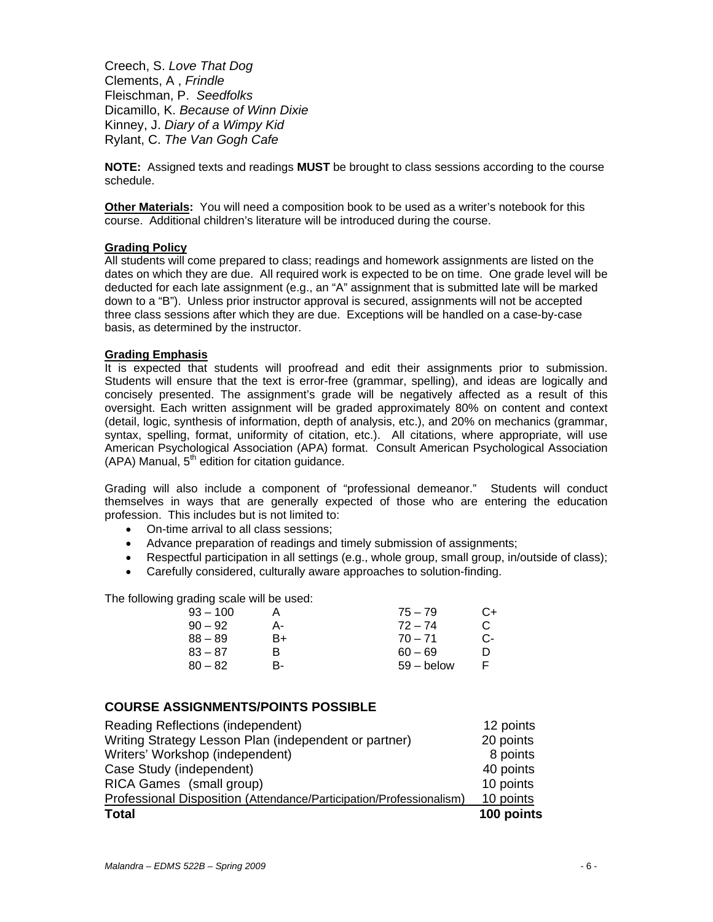Fleischman, P. *Seedfolks*  Dicamillo, K. *Because of Winn Dixie*  Kinney, J. *Diary of a Wimpy Kid* Creech, S. *Love That Dog*  Clements, A , *Frindle*  Rylant, C. *The Van Gogh Cafe* 

**NOTE:** Assigned texts and readings **MUST** be brought to class sessions according to the course schedule.

**Other Materials:** You will need a composition book to be used as a writer's notebook for this course. Additional children's literature will be introduced during the course.

### **Grading Policy**

All students will come prepared to class; readings and homework assignments are listed on the dates on which they are due. All required work is expected to be on time. One grade level will be deducted for each late assignment (e.g., an "A" assignment that is submitted late will be marked down to a "B"). Unless prior instructor approval is secured, assignments will not be accepted three class sessions after which they are due. Exceptions will be handled on a case-by-case basis, as determined by the instructor.

### **Grading Emphasis**

It is expected that students will proofread and edit their assignments prior to submission. Students will ensure that the text is error-free (grammar, spelling), and ideas are logically and concisely presented. The assignment's grade will be negatively affected as a result of this oversight. Each written assignment will be graded approximately 80% on content and context (detail, logic, synthesis of information, depth of analysis, etc.), and 20% on mechanics (grammar, syntax, spelling, format, uniformity of citation, etc.). All citations, where appropriate, will use American Psychological Association (APA) format. Consult American Psychological Association  $(APA)$  Manual,  $5<sup>th</sup>$  edition for citation guidance.

Grading will also include a component of "professional demeanor." Students will conduct themselves in ways that are generally expected of those who are entering the education profession. This includes but is not limited to:

- On-time arrival to all class sessions;
- Advance preparation of readings and timely submission of assignments;
- Respectful participation in all settings (e.g., whole group, small group, in/outside of class);
- Carefully considered, culturally aware approaches to solution-finding.

The following grading scale will be used:

| 93 – 100 |    | $75 - 79$    | C+ |
|----------|----|--------------|----|
| 90 – 92  | А- | $72 - 74$    | C. |
| 88 – 89  | B+ | $70 - 71$    | C- |
| 83 – 87  | R  | $60 - 69$    | D  |
| 80 – 82  | R- | $59 -$ below | F  |

### **COURSE ASSIGNMENTS/POINTS POSSIBLE**

| <b>Total</b>                                                        | 100 points |
|---------------------------------------------------------------------|------------|
| Professional Disposition (Attendance/Participation/Professionalism) | 10 points  |
| RICA Games (small group)                                            | 10 points  |
| Case Study (independent)                                            | 40 points  |
| Writers' Workshop (independent)                                     | 8 points   |
| Writing Strategy Lesson Plan (independent or partner)               | 20 points  |
| Reading Reflections (independent)                                   | 12 points  |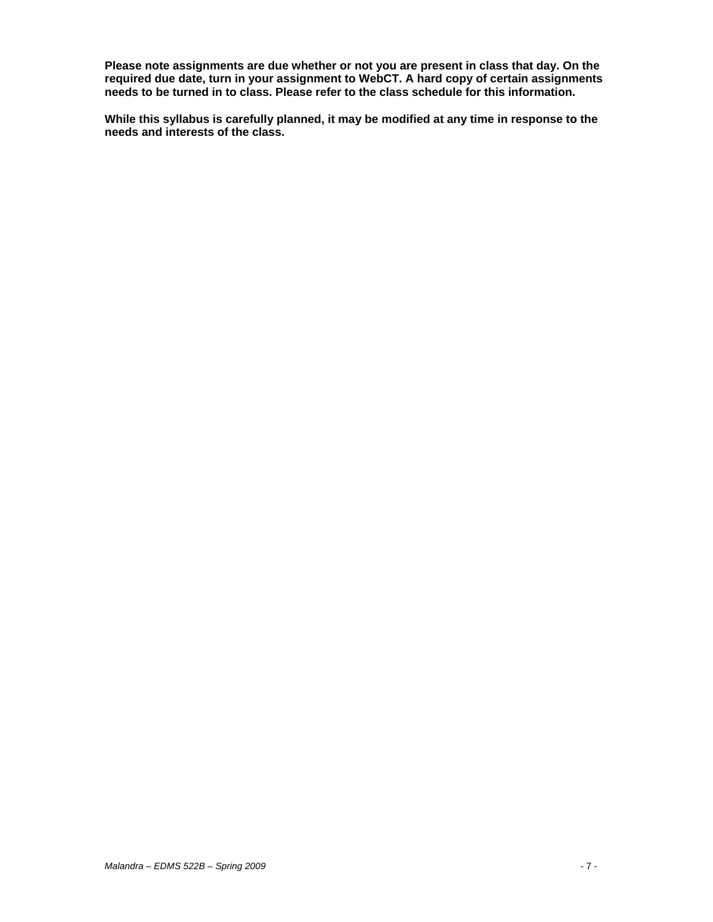**Please note assignments are due whether or not you are present in class that day. On the required due date, turn in your assignment to WebCT. A hard copy of certain assignments needs to be turned in to class. Please refer to the class schedule for this information.** 

**While this syllabus is carefully planned, it may be modified at any time in response to the needs and interests of the class.**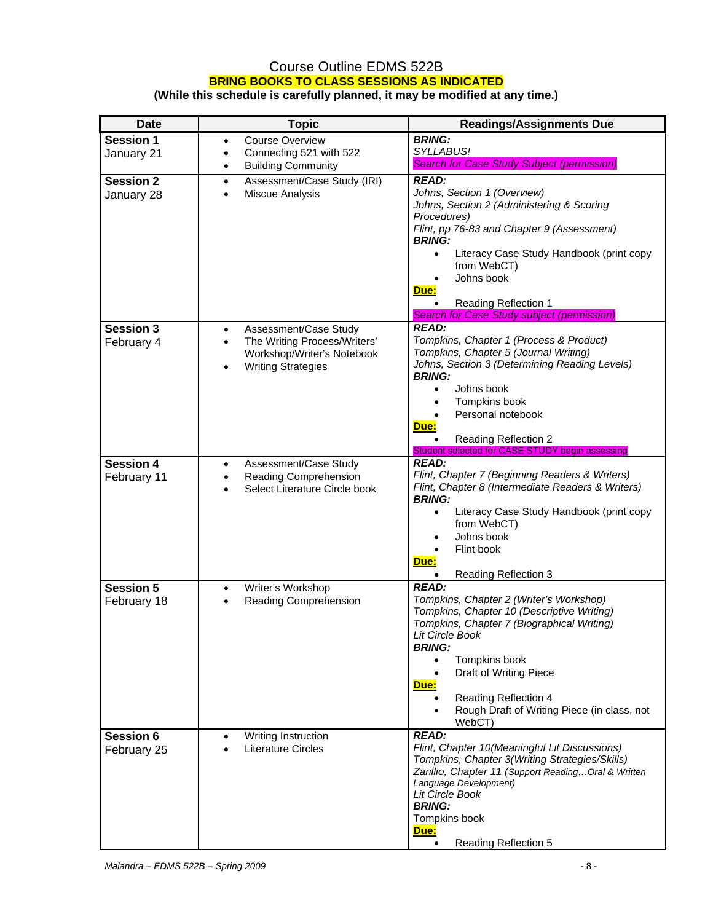### Course Outline EDMS 522B **BRING BOOKS TO CLASS SESSIONS AS INDICATED (While this schedule is carefully planned, it may be modified at any time.)**

| <b>Date</b>                     | <b>Topic</b>                                                                | <b>Readings/Assignments Due</b>                                                        |
|---------------------------------|-----------------------------------------------------------------------------|----------------------------------------------------------------------------------------|
| <b>Session 1</b>                | <b>Course Overview</b><br>٠                                                 | <b>BRING:</b>                                                                          |
| January 21                      | Connecting 521 with 522<br>$\bullet$                                        | SYLLABUS!                                                                              |
|                                 | <b>Building Community</b><br>$\bullet$                                      | <b>Search for Case Study Subject (permission)</b>                                      |
| <b>Session 2</b>                | Assessment/Case Study (IRI)<br>$\bullet$                                    | <b>READ:</b>                                                                           |
| January 28                      | Miscue Analysis<br>$\bullet$                                                | Johns, Section 1 (Overview)                                                            |
|                                 |                                                                             | Johns, Section 2 (Administering & Scoring<br>Procedures)                               |
|                                 |                                                                             | Flint, pp 76-83 and Chapter 9 (Assessment)                                             |
|                                 |                                                                             | <b>BRING:</b>                                                                          |
|                                 |                                                                             | Literacy Case Study Handbook (print copy<br>$\bullet$                                  |
|                                 |                                                                             | from WebCT)<br>Johns book                                                              |
|                                 |                                                                             | Due:                                                                                   |
|                                 |                                                                             | <b>Reading Reflection 1</b>                                                            |
|                                 |                                                                             | Search for Case Study subject (permission)                                             |
| <b>Session 3</b>                | Assessment/Case Study<br>$\bullet$                                          | <b>READ:</b>                                                                           |
| February 4                      | The Writing Process/Writers'<br>$\bullet$                                   | Tompkins, Chapter 1 (Process & Product)                                                |
|                                 | Workshop/Writer's Notebook                                                  | Tompkins, Chapter 5 (Journal Writing)<br>Johns, Section 3 (Determining Reading Levels) |
|                                 | <b>Writing Strategies</b><br>$\bullet$                                      | <b>BRING:</b>                                                                          |
|                                 |                                                                             | Johns book<br>$\bullet$                                                                |
|                                 |                                                                             | Tompkins book<br>$\bullet$                                                             |
|                                 |                                                                             | Personal notebook                                                                      |
|                                 |                                                                             | Due:                                                                                   |
|                                 |                                                                             | <b>Reading Reflection 2</b><br>Student selected for CASE STUDY begin assessing         |
| <b>Session 4</b>                | Assessment/Case Study<br>$\bullet$                                          | <b>READ:</b>                                                                           |
| February 11                     | Reading Comprehension<br>$\bullet$                                          | Flint, Chapter 7 (Beginning Readers & Writers)                                         |
|                                 | Select Literature Circle book<br>$\bullet$                                  | Flint, Chapter 8 (Intermediate Readers & Writers)                                      |
|                                 |                                                                             | <b>BRING:</b>                                                                          |
|                                 |                                                                             | Literacy Case Study Handbook (print copy<br>$\bullet$<br>from WebCT)                   |
|                                 |                                                                             | Johns book                                                                             |
|                                 |                                                                             | Flint book                                                                             |
|                                 |                                                                             | Due:                                                                                   |
|                                 |                                                                             | <b>Reading Reflection 3</b><br>$\bullet$                                               |
| <b>Session 5</b>                | Writer's Workshop<br>$\bullet$<br><b>Reading Comprehension</b><br>$\bullet$ | <b>READ:</b><br>Tompkins, Chapter 2 (Writer's Workshop)                                |
| February 18                     |                                                                             | Tompkins, Chapter 10 (Descriptive Writing)                                             |
|                                 |                                                                             | Tompkins, Chapter 7 (Biographical Writing)                                             |
|                                 |                                                                             | Lit Circle Book                                                                        |
|                                 |                                                                             | <b>BRING:</b><br>$\bullet$                                                             |
|                                 |                                                                             | Tompkins book<br>Draft of Writing Piece<br>$\bullet$                                   |
|                                 |                                                                             | Due:                                                                                   |
|                                 |                                                                             | Reading Reflection 4                                                                   |
|                                 |                                                                             | Rough Draft of Writing Piece (in class, not<br>$\bullet$                               |
|                                 |                                                                             | WebCT)<br><b>READ:</b>                                                                 |
| <b>Session 6</b><br>February 25 | Writing Instruction<br>$\bullet$<br><b>Literature Circles</b>               | Flint, Chapter 10(Meaningful Lit Discussions)                                          |
|                                 |                                                                             | Tompkins, Chapter 3(Writing Strategies/Skills)                                         |
|                                 |                                                                             | Zarillio, Chapter 11 (Support Reading Oral & Written                                   |
|                                 |                                                                             | Language Development)<br>Lit Circle Book                                               |
|                                 |                                                                             | <b>BRING:</b>                                                                          |
|                                 |                                                                             | Tompkins book                                                                          |
|                                 |                                                                             | <u>Due:</u>                                                                            |
|                                 |                                                                             | $\bullet$<br><b>Reading Reflection 5</b>                                               |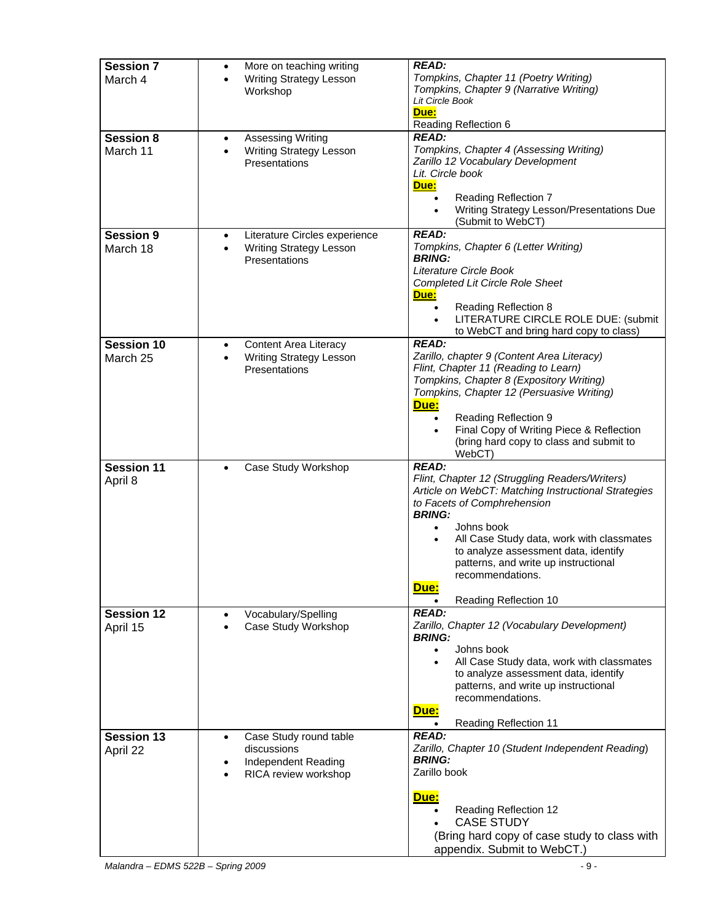| <b>Session 7</b><br>March 4   | More on teaching writing<br>$\bullet$<br><b>Writing Strategy Lesson</b><br>Workshop                        | <b>READ:</b><br>Tompkins, Chapter 11 (Poetry Writing)<br>Tompkins, Chapter 9 (Narrative Writing)<br>Lit Circle Book<br>Due:<br>Reading Reflection 6                                                                                                                                                                                                                                |
|-------------------------------|------------------------------------------------------------------------------------------------------------|------------------------------------------------------------------------------------------------------------------------------------------------------------------------------------------------------------------------------------------------------------------------------------------------------------------------------------------------------------------------------------|
| <b>Session 8</b><br>March 11  | <b>Assessing Writing</b><br>$\bullet$<br><b>Writing Strategy Lesson</b><br>$\bullet$<br>Presentations      | <b>READ:</b><br>Tompkins, Chapter 4 (Assessing Writing)<br>Zarillo 12 Vocabulary Development<br>Lit. Circle book<br>Due:<br><b>Reading Reflection 7</b><br>Writing Strategy Lesson/Presentations Due<br>(Submit to WebCT)                                                                                                                                                          |
| <b>Session 9</b><br>March 18  | Literature Circles experience<br>$\bullet$<br><b>Writing Strategy Lesson</b><br>$\bullet$<br>Presentations | <b>READ:</b><br>Tompkins, Chapter 6 (Letter Writing)<br><b>BRING:</b><br>Literature Circle Book<br><b>Completed Lit Circle Role Sheet</b><br>Due:<br><b>Reading Reflection 8</b><br>LITERATURE CIRCLE ROLE DUE: (submit<br>$\bullet$<br>to WebCT and bring hard copy to class)                                                                                                     |
| <b>Session 10</b><br>March 25 | Content Area Literacy<br>٠<br><b>Writing Strategy Lesson</b><br>Presentations                              | <b>READ:</b><br>Zarillo, chapter 9 (Content Area Literacy)<br>Flint, Chapter 11 (Reading to Learn)<br>Tompkins, Chapter 8 (Expository Writing)<br>Tompkins, Chapter 12 (Persuasive Writing)<br>Due:<br><b>Reading Reflection 9</b><br>$\bullet$<br>Final Copy of Writing Piece & Reflection<br>(bring hard copy to class and submit to<br>WebCT)                                   |
| <b>Session 11</b><br>April 8  | Case Study Workshop<br>$\bullet$                                                                           | <b>READ:</b><br>Flint, Chapter 12 (Struggling Readers/Writers)<br>Article on WebCT: Matching Instructional Strategies<br>to Facets of Comphrehension<br><b>BRING:</b><br>Johns book<br>$\bullet$<br>All Case Study data, work with classmates<br>to analyze assessment data, identify<br>patterns, and write up instructional<br>recommendations.<br>Due:<br>Reading Reflection 10 |
| <b>Session 12</b><br>April 15 | Vocabulary/Spelling<br>Case Study Workshop                                                                 | <b>READ:</b><br>Zarillo, Chapter 12 (Vocabulary Development)<br><b>BRING:</b><br>Johns book<br>$\bullet$<br>All Case Study data, work with classmates<br>$\bullet$<br>to analyze assessment data, identify<br>patterns, and write up instructional<br>recommendations.<br>Due:<br><b>Reading Reflection 11</b><br>$\bullet$                                                        |
| <b>Session 13</b><br>April 22 | Case Study round table<br>$\bullet$<br>discussions<br>Independent Reading<br>RICA review workshop          | <b>READ:</b><br>Zarillo, Chapter 10 (Student Independent Reading)<br><b>BRING:</b><br>Zarillo book<br>Due:<br>Reading Reflection 12<br><b>CASE STUDY</b><br>(Bring hard copy of case study to class with<br>appendix. Submit to WebCT.)                                                                                                                                            |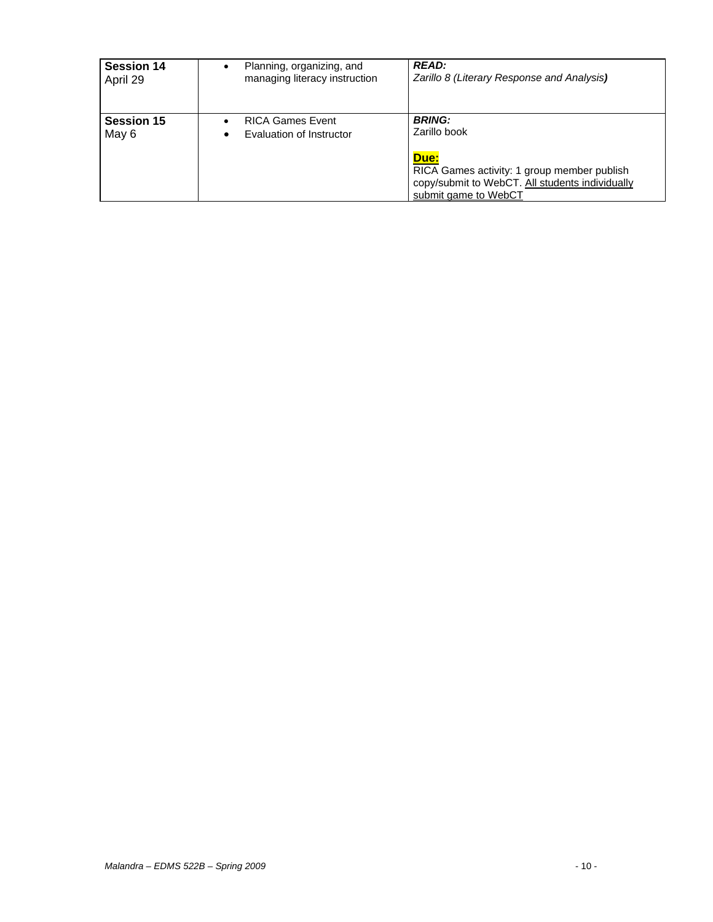| <b>Session 14</b>          | Planning, organizing, and                           | <b>READ:</b>                                                                                                                                                    |
|----------------------------|-----------------------------------------------------|-----------------------------------------------------------------------------------------------------------------------------------------------------------------|
| April 29                   | managing literacy instruction                       | Zarillo 8 (Literary Response and Analysis)                                                                                                                      |
| <b>Session 15</b><br>May 6 | <b>RICA Games Event</b><br>Evaluation of Instructor | <b>BRING:</b><br>Zarillo book<br>Due:<br>RICA Games activity: 1 group member publish<br>copy/submit to WebCT. All students individually<br>submit game to WebCT |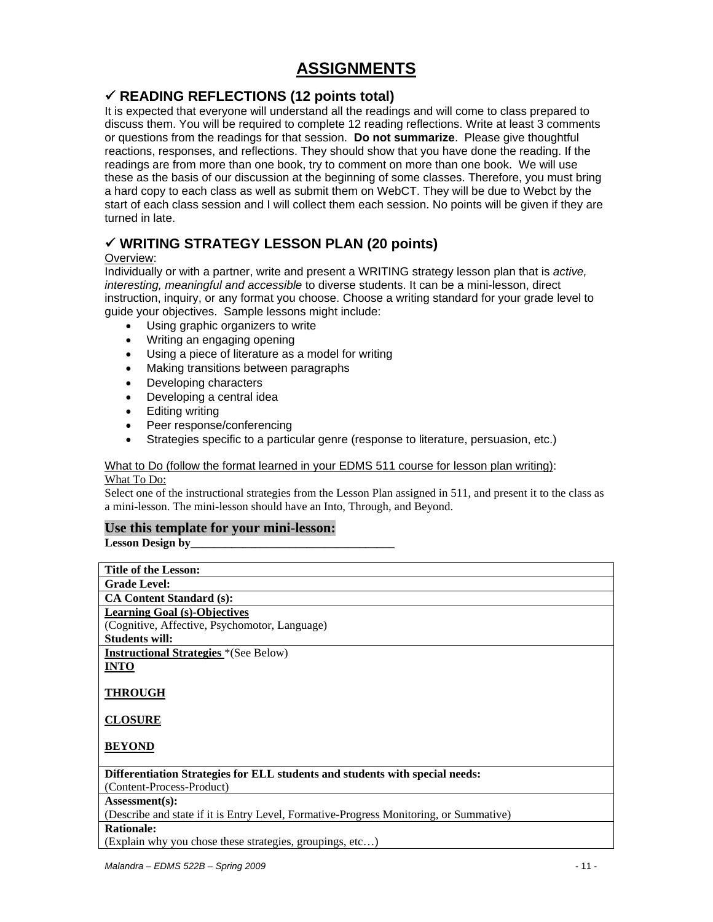# **ASSIGNMENTS**

# 9 **READING REFLECTIONS (12 points total)**

It is expected that everyone will understand all the readings and will come to class prepared to discuss them. You will be required to complete 12 reading reflections. Write at least 3 comments or questions from the readings for that session. **Do not summarize**. Please give thoughtful reactions, responses, and reflections. They should show that you have done the reading. If the readings are from more than one book, try to comment on more than one book. We will use these as the basis of our discussion at the beginning of some classes. Therefore, you must bring a hard copy to each class as well as submit them on WebCT. They will be due to Webct by the start of each class session and I will collect them each session. No points will be given if they are turned in late.

# 9 **WRITING STRATEGY LESSON PLAN (20 points)**

### Overview:

Individually or with a partner, write and present a WRITING strategy lesson plan that is *active, interesting, meaningful and accessible* to diverse students. It can be a mini-lesson, direct instruction, inquiry, or any format you choose. Choose a writing standard for your grade level to guide your objectives. Sample lessons might include:

- Using graphic organizers to write
- Writing an engaging opening
- Using a piece of literature as a model for writing
- Making transitions between paragraphs
- Developing characters
- Developing a central idea
- Editing writing
- Peer response/conferencing
- Strategies specific to a particular genre (response to literature, persuasion, etc.)

### What to Do (follow the format learned in your EDMS 511 course for lesson plan writing):

### What To Do:

 a mini-lesson. The mini-lesson should have an Into, Through, and Beyond. Select one of the instructional strategies from the Lesson Plan assigned in 511, and present it to the class as

### **Use this template for your mini-lesson:**

Lesson Design by

| <b>Title of the Lesson:</b>                                                                                                                                                                                                                                                                                                                  |  |  |  |
|----------------------------------------------------------------------------------------------------------------------------------------------------------------------------------------------------------------------------------------------------------------------------------------------------------------------------------------------|--|--|--|
| <b>Grade Level:</b>                                                                                                                                                                                                                                                                                                                          |  |  |  |
| <b>CA Content Standard (s):</b>                                                                                                                                                                                                                                                                                                              |  |  |  |
| <b>Learning Goal (s)-Objectives</b>                                                                                                                                                                                                                                                                                                          |  |  |  |
| (Cognitive, Affective, Psychomotor, Language)                                                                                                                                                                                                                                                                                                |  |  |  |
| <b>Students will:</b>                                                                                                                                                                                                                                                                                                                        |  |  |  |
| <b>Instructional Strategies</b> *(See Below)                                                                                                                                                                                                                                                                                                 |  |  |  |
| <b>INTO</b>                                                                                                                                                                                                                                                                                                                                  |  |  |  |
|                                                                                                                                                                                                                                                                                                                                              |  |  |  |
| <b>THROUGH</b>                                                                                                                                                                                                                                                                                                                               |  |  |  |
|                                                                                                                                                                                                                                                                                                                                              |  |  |  |
| <b>CLOSURE</b>                                                                                                                                                                                                                                                                                                                               |  |  |  |
|                                                                                                                                                                                                                                                                                                                                              |  |  |  |
| <b>BEYOND</b>                                                                                                                                                                                                                                                                                                                                |  |  |  |
|                                                                                                                                                                                                                                                                                                                                              |  |  |  |
| Differentiation Strategies for ELL students and students with special needs:                                                                                                                                                                                                                                                                 |  |  |  |
| (Content-Process-Product)                                                                                                                                                                                                                                                                                                                    |  |  |  |
| Assessment(s):                                                                                                                                                                                                                                                                                                                               |  |  |  |
| (Describe and state if it is Entry Level, Formative-Progress Monitoring, or Summative)                                                                                                                                                                                                                                                       |  |  |  |
| <b>Rationale:</b>                                                                                                                                                                                                                                                                                                                            |  |  |  |
| (Explain why you chose these strategies, groupings, etc)                                                                                                                                                                                                                                                                                     |  |  |  |
| $\cdots$ $\cdots$ $\cdots$ $\cdots$ $\cdots$ $\cdots$ $\cdots$ $\cdots$ $\cdots$ $\cdots$ $\cdots$ $\cdots$ $\cdots$ $\cdots$ $\cdots$ $\cdots$ $\cdots$ $\cdots$ $\cdots$ $\cdots$ $\cdots$ $\cdots$ $\cdots$ $\cdots$ $\cdots$ $\cdots$ $\cdots$ $\cdots$ $\cdots$ $\cdots$ $\cdots$ $\cdots$ $\cdots$ $\cdots$ $\cdots$ $\cdots$ $\cdots$ |  |  |  |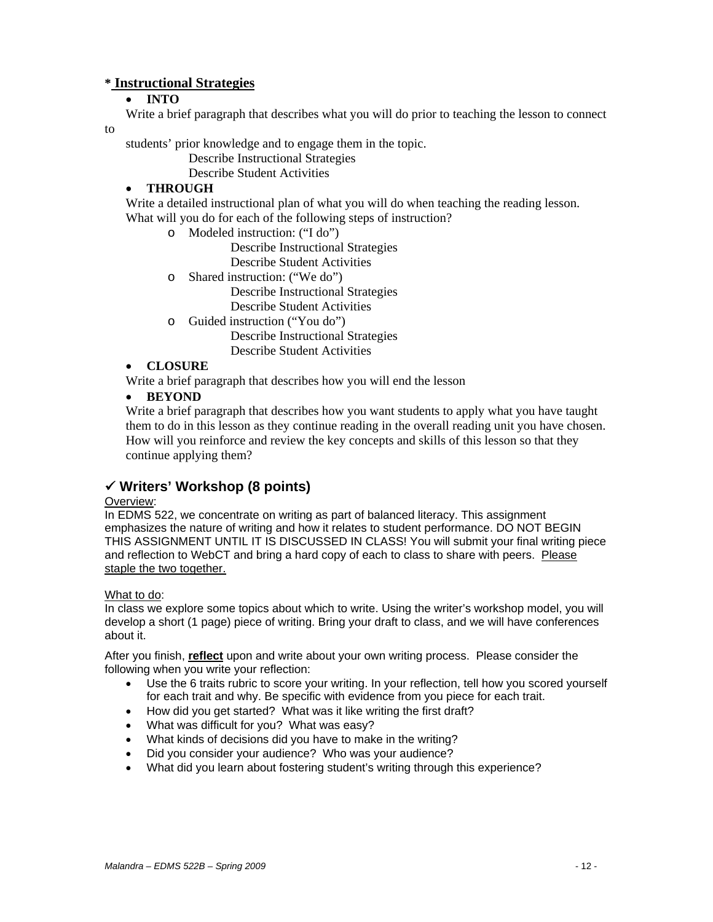## **\* Instructional Strategies**

### • **INTO**

Write a brief paragraph that describes what you will do prior to teaching the lesson to connect

### to

students' prior knowledge and to engage them in the topic.

Describe Instructional Strategies

Describe Student Activities

### • **THROUGH**

Write a detailed instructional plan of what you will do when teaching the reading lesson. What will you do for each of the following steps of instruction?

o Modeled instruction: ("I do")

Describe Instructional Strategies Describe Student Activities

o Shared instruction: ("We do")

Describe Instructional Strategies

Describe Student Activities

o Guided instruction ("You do")

Describe Instructional Strategies Describe Student Activities

### • **CLOSURE**

Write a brief paragraph that describes how you will end the lesson

### • **BEYOND**

Write a brief paragraph that describes how you want students to apply what you have taught them to do in this lesson as they continue reading in the overall reading unit you have chosen. How will you reinforce and review the key concepts and skills of this lesson so that they continue applying them?

# 9 **Writers' Workshop (8 points)**

### Overview:

staple the two together.<br>What to do: In EDMS 522, we concentrate on writing as part of balanced literacy. This assignment emphasizes the nature of writing and how it relates to student performance. DO NOT BEGIN THIS ASSIGNMENT UNTIL IT IS DISCUSSED IN CLASS! You will submit your final writing piece and reflection to WebCT and bring a hard copy of each to class to share with peers. Please

In class we explore some topics about which to write. Using the writer's workshop model, you will develop a short (1 page) piece of writing. Bring your draft to class, and we will have conferences about it.

After you finish, **reflect** upon and write about your own writing process. Please consider the following when you write your reflection:

- Use the 6 traits rubric to score your writing. In your reflection, tell how you scored yourself for each trait and why. Be specific with evidence from you piece for each trait.
- How did you get started? What was it like writing the first draft?
- What was difficult for you? What was easy?
- What kinds of decisions did you have to make in the writing?
- Did you consider your audience? Who was your audience?
- What did you learn about fostering student's writing through this experience?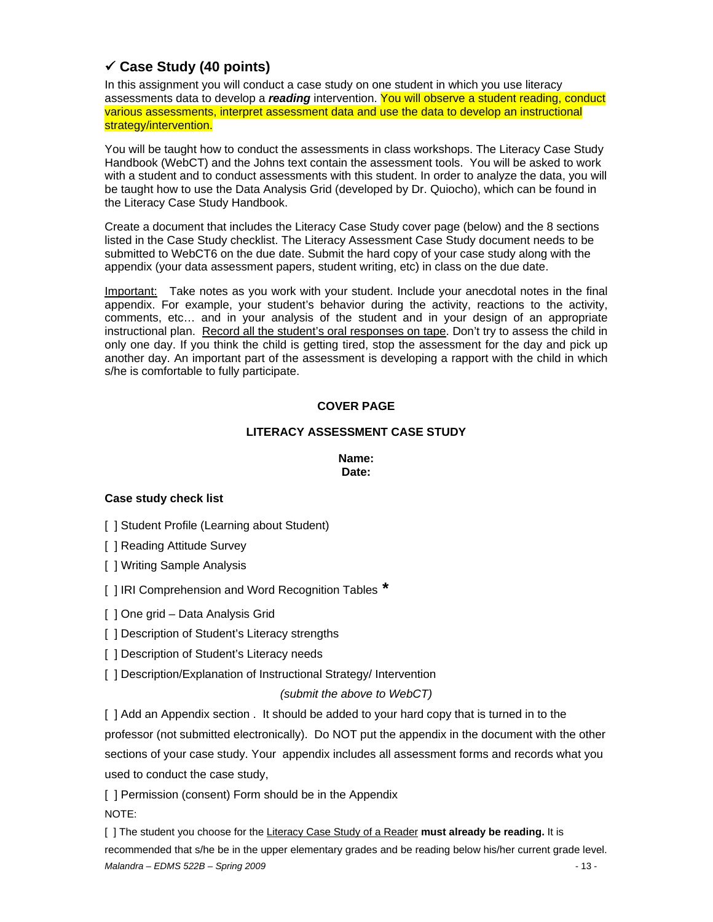# 9 **Case Study (40 points)**

In this assignment you will conduct a case study on one student in which you use literacy assessments data to develop a *reading* intervention. You will observe a student reading, conduct various assessments, interpret assessment data and use the data to develop an instructional strategy/intervention.

You will be taught how to conduct the assessments in class workshops. The Literacy Case Study Handbook (WebCT) and the Johns text contain the assessment tools. You will be asked to work with a student and to conduct assessments with this student. In order to analyze the data, you will be taught how to use the Data Analysis Grid (developed by Dr. Quiocho), which can be found in the Literacy Case Study Handbook.

Create a document that includes the Literacy Case Study cover page (below) and the 8 sections listed in the Case Study checklist. The Literacy Assessment Case Study document needs to be submitted to WebCT6 on the due date. Submit the hard copy of your case study along with the appendix (your data assessment papers, student writing, etc) in class on the due date.

Important: Take notes as you work with your student. Include your anecdotal notes in the final appendix. For example, your student's behavior during the activity, reactions to the activity, comments, etc… and in your analysis of the student and in your design of an appropriate instructional plan. Record all the student's oral responses on tape. Don't try to assess the child in only one day. If you think the child is getting tired, stop the assessment for the day and pick up another day. An important part of the assessment is developing a rapport with the child in which s/he is comfortable to fully participate.

### **COVER PAGE**

### **LITERACY ASSESSMENT CASE STUDY**

**Name: Date:** 

### **Case study check list**

[ ] Student Profile (Learning about Student)

[ ] Reading Attitude Survey

[ ] Writing Sample Analysis

[ ] IRI Comprehension and Word Recognition Tables **\*** 

[ ] One grid – Data Analysis Grid

- [ ] Description of Student's Literacy strengths
- [ ] Description of Student's Literacy needs

[ ] Description/Explanation of Instructional Strategy/ Intervention

### *(submit the above to WebCT)*

[ ] Add an Appendix section . It should be added to your hard copy that is turned in to the professor (not submitted electronically). Do NOT put the appendix in the document with the other sections of your case study. Your appendix includes all assessment forms and records what you used to conduct the case study,

[ ] Permission (consent) Form should be in the Appendix NOTE:

[ ] The student you choose for the Literacy Case Study of a Reader **must already be reading.** It is recommended that s/he be in the upper elementary grades and be reading below his/her current grade level. *Malandra – EDMS 522B – Spring 2009* - 13 -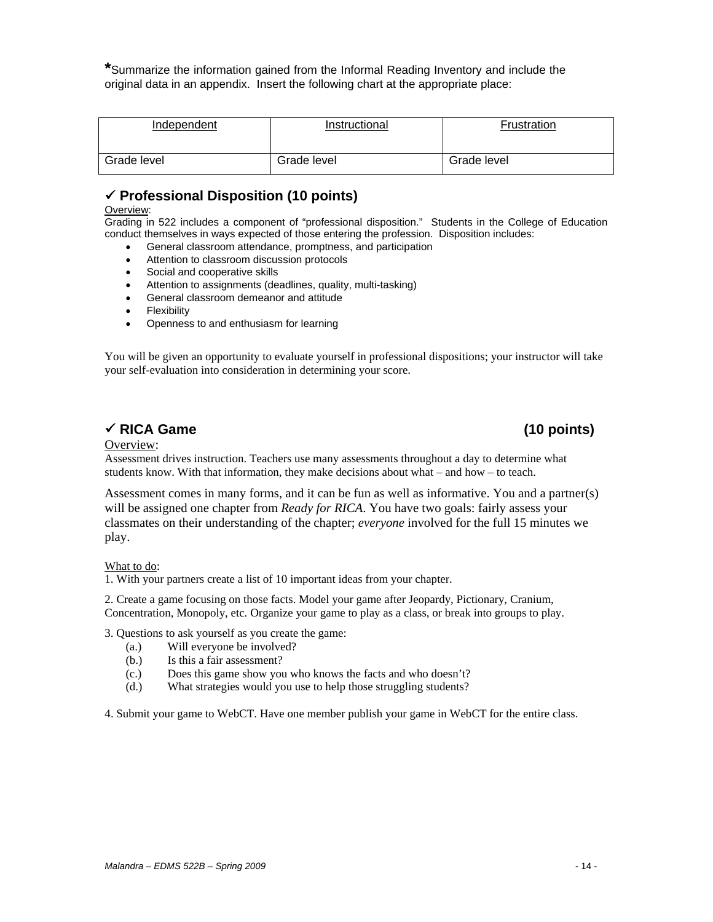**\***Summarize the information gained from the Informal Reading Inventory and include the original data in an appendix. Insert the following chart at the appropriate place:

| Independent | Instructional | Frustration |
|-------------|---------------|-------------|
| Grade level | Grade level   | Grade level |

# 9 **Professional Disposition (10 points)**

### Overview:

Grading in 522 includes a component of "professional disposition." Students in the College of Education conduct themselves in ways expected of those entering the profession. Disposition includes:

- General classroom attendance, promptness, and participation
- Attention to classroom discussion protocols
- Social and cooperative skills
- Attention to assignments (deadlines, quality, multi-tasking)
- General classroom demeanor and attitude
- **Flexibility**
- Openness to and enthusiasm for learning

 You will be given an opportunity to evaluate yourself in professional dispositions; your instructor will take your self-evaluation into consideration in determining your score.

# **→ RICA Game (10 points)** (10 points)

### Overview:

Assessment drives instruction. Teachers use many assessments throughout a day to determine what students know. With that information, they make decisions about what – and how – to teach.

Assessment comes in many forms, and it can be fun as well as informative. You and a partner(s) will be assigned one chapter from *Ready for RICA*. You have two goals: fairly assess your classmates on their understanding of the chapter; *everyone* involved for the full 15 minutes we play.

### What to do:

1. With your partners create a list of 10 important ideas from your chapter.

 1. With your partners create a list of 10 important ideas from your chapter. 2. Create a game focusing on those facts. Model your game after Jeopardy, Pictionary, Cranium, Concentration, Monopoly, etc. Organize your game to play as a class, or break into groups to play.

3. Questions to ask yourself as you create the game:

- (a.) Will everyone be involved?
	- Is this a fair assessment?
- (b.) Is this a fair assessment? (c.) Does this game show you who knows the facts and who doesn't? (d.) What strategies would you use to help those struggling students?
- 

4. Submit your game to WebCT. Have one member publish your game in WebCT for the entire class.